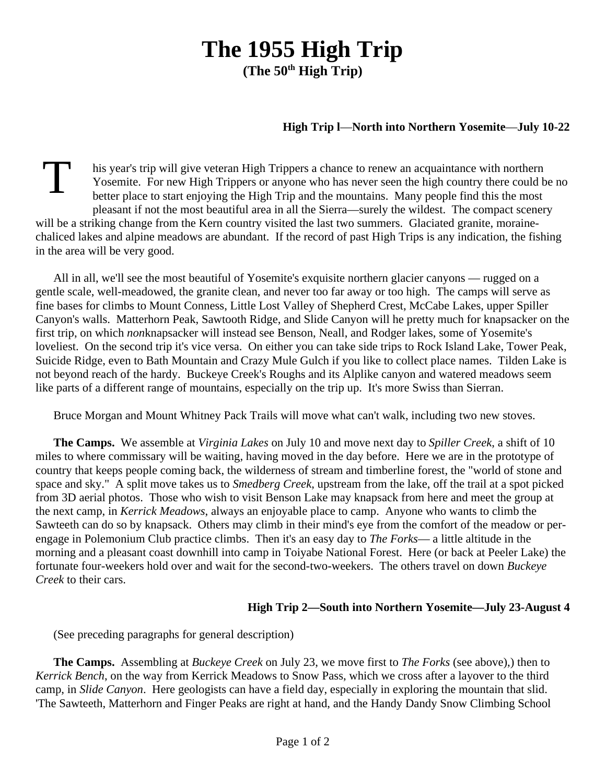## **The 1955 High Trip (The 50th High Trip)**

## **High Trip l**—**North into Northern Yosemite**—**July 10-22**

T his year's trip will give veteran High Trippers a chance to renew an acquaintance with northern Yosemite. For new High Trippers or anyone who has never seen the high country there could be no better place to start enjoying the High Trip and the mountains. Many people find this the most pleasant if not the most beautiful area in all the Sierra—surely the wildest. The compact scenery will be a striking change from the Kern country visited the last two summers. Glaciated granite, morainechaliced lakes and alpine meadows are abundant. If the record of past High Trips is any indication, the fishing in the area will be very good.

All in all, we'll see the most beautiful of Yosemite's exquisite northern glacier canyons — rugged on a gentle scale, well-meadowed, the granite clean, and never too far away or too high. The camps will serve as fine bases for climbs to Mount Conness, Little Lost Valley of Shepherd Crest, McCabe Lakes, upper Spiller Canyon's walls. Matterhorn Peak, Sawtooth Ridge, and Slide Canyon will he pretty much for knapsacker on the first trip, on which *non*knapsacker will instead see Benson, Neall, and Rodger lakes, some of Yosemite's loveliest. On the second trip it's vice versa. On either you can take side trips to Rock Island Lake, Tower Peak, Suicide Ridge, even to Bath Mountain and Crazy Mule Gulch if you like to collect place names. Tilden Lake is not beyond reach of the hardy. Buckeye Creek's Roughs and its Alplike canyon and watered meadows seem like parts of a different range of mountains, especially on the trip up. It's more Swiss than Sierran.

Bruce Morgan and Mount Whitney Pack Trails will move what can't walk, including two new stoves.

**The Camps.** We assemble at *Virginia Lakes* on July 10 and move next day to *Spiller Creek*, a shift of 10 miles to where commissary will be waiting, having moved in the day before. Here we are in the prototype of country that keeps people coming back, the wilderness of stream and timberline forest, the "world of stone and space and sky." A split move takes us to *Smedberg Creek*, upstream from the lake, off the trail at a spot picked from 3D aerial photos. Those who wish to visit Benson Lake may knapsack from here and meet the group at the next camp, in *Kerrick Meadows*, always an enjoyable place to camp. Anyone who wants to climb the Sawteeth can do so by knapsack. Others may climb in their mind's eye from the comfort of the meadow or perengage in Polemonium Club practice climbs. Then it's an easy day to *The Forks*— a little altitude in the morning and a pleasant coast downhill into camp in Toiyabe National Forest. Here (or back at Peeler Lake) the fortunate four-weekers hold over and wait for the second-two-weekers. The others travel on down *Buckeye Creek* to their cars.

## **High Trip 2—South into Northern Yosemite—July 23-August 4**

(See preceding paragraphs for general description)

**The Camps.** Assembling at *Buckeye Creek* on July 23, we move first to *The Forks* (see above),) then to *Kerrick Bench*, on the way from Kerrick Meadows to Snow Pass, which we cross after a layover to the third camp, in *Slide Canyon*. Here geologists can have a field day, especially in exploring the mountain that slid. 'The Sawteeth, Matterhorn and Finger Peaks are right at hand, and the Handy Dandy Snow Climbing School